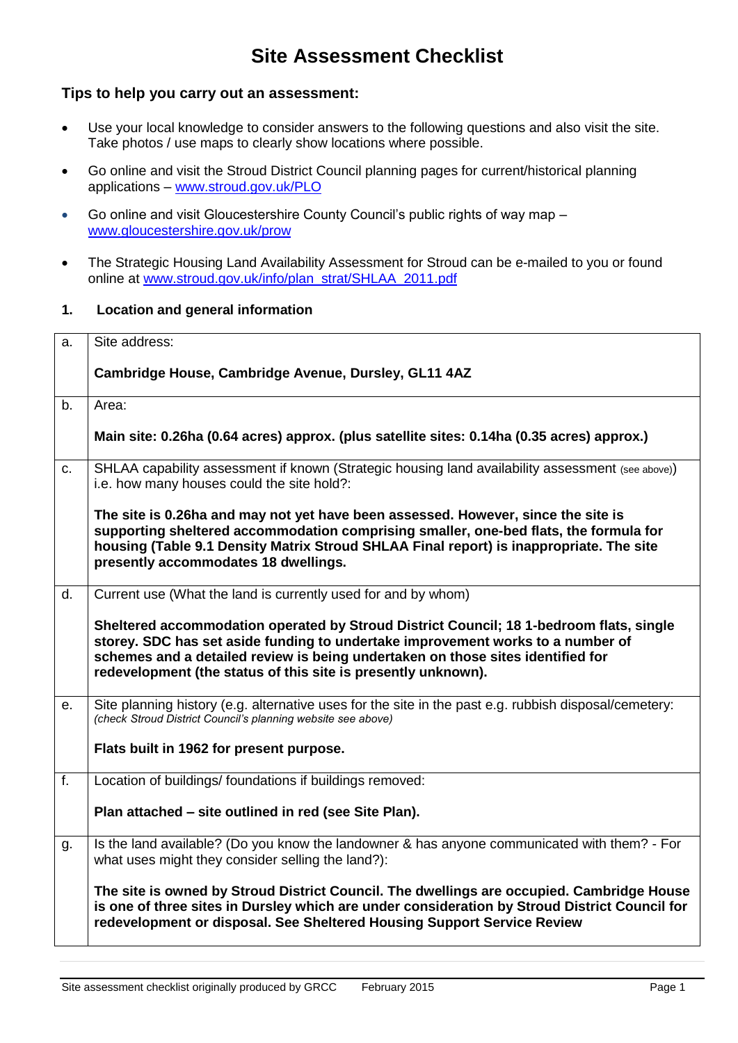# **Site Assessment Checklist**

#### **Tips to help you carry out an assessment:**

- Use your local knowledge to consider answers to the following questions and also visit the site. Take photos / use maps to clearly show locations where possible.
- Go online and visit the Stroud District Council planning pages for current/historical planning applications – [www.stroud.gov.uk/PLO](http://www.stroud.gov.uk/PLO)
- Go online and visit Gloucestershire County Council's public rights of way map [www.gloucestershire.gov.uk/prow](http://www.gloucestershire.gov.uk/prow)
- The Strategic Housing Land Availability Assessment for Stroud can be e-mailed to you or found online at [www.stroud.gov.uk/info/plan\\_strat/SHLAA\\_2011.](http://www.stroud.gov.uk/info/plan_strat/SHLAA_2011)pdf

#### **1. Location and general information**

| a.             | Site address:                                                                                                                                                                                                                                                                                                                  |
|----------------|--------------------------------------------------------------------------------------------------------------------------------------------------------------------------------------------------------------------------------------------------------------------------------------------------------------------------------|
|                | Cambridge House, Cambridge Avenue, Dursley, GL11 4AZ                                                                                                                                                                                                                                                                           |
| b <sub>1</sub> | Area:                                                                                                                                                                                                                                                                                                                          |
|                | Main site: 0.26ha (0.64 acres) approx. (plus satellite sites: 0.14ha (0.35 acres) approx.)                                                                                                                                                                                                                                     |
| C.             | SHLAA capability assessment if known (Strategic housing land availability assessment (see above))<br>i.e. how many houses could the site hold?:                                                                                                                                                                                |
|                | The site is 0.26ha and may not yet have been assessed. However, since the site is<br>supporting sheltered accommodation comprising smaller, one-bed flats, the formula for<br>housing (Table 9.1 Density Matrix Stroud SHLAA Final report) is inappropriate. The site<br>presently accommodates 18 dwellings.                  |
| d.             | Current use (What the land is currently used for and by whom)                                                                                                                                                                                                                                                                  |
|                | Sheltered accommodation operated by Stroud District Council; 18 1-bedroom flats, single<br>storey. SDC has set aside funding to undertake improvement works to a number of<br>schemes and a detailed review is being undertaken on those sites identified for<br>redevelopment (the status of this site is presently unknown). |
| е.             | Site planning history (e.g. alternative uses for the site in the past e.g. rubbish disposal/cemetery:<br>(check Stroud District Council's planning website see above)                                                                                                                                                          |
|                | Flats built in 1962 for present purpose.                                                                                                                                                                                                                                                                                       |
| f.             | Location of buildings/ foundations if buildings removed:                                                                                                                                                                                                                                                                       |
|                | Plan attached – site outlined in red (see Site Plan).                                                                                                                                                                                                                                                                          |
| g.             | Is the land available? (Do you know the landowner & has anyone communicated with them? - For<br>what uses might they consider selling the land?):                                                                                                                                                                              |
|                | The site is owned by Stroud District Council. The dwellings are occupied. Cambridge House<br>is one of three sites in Dursley which are under consideration by Stroud District Council for<br>redevelopment or disposal. See Sheltered Housing Support Service Review                                                          |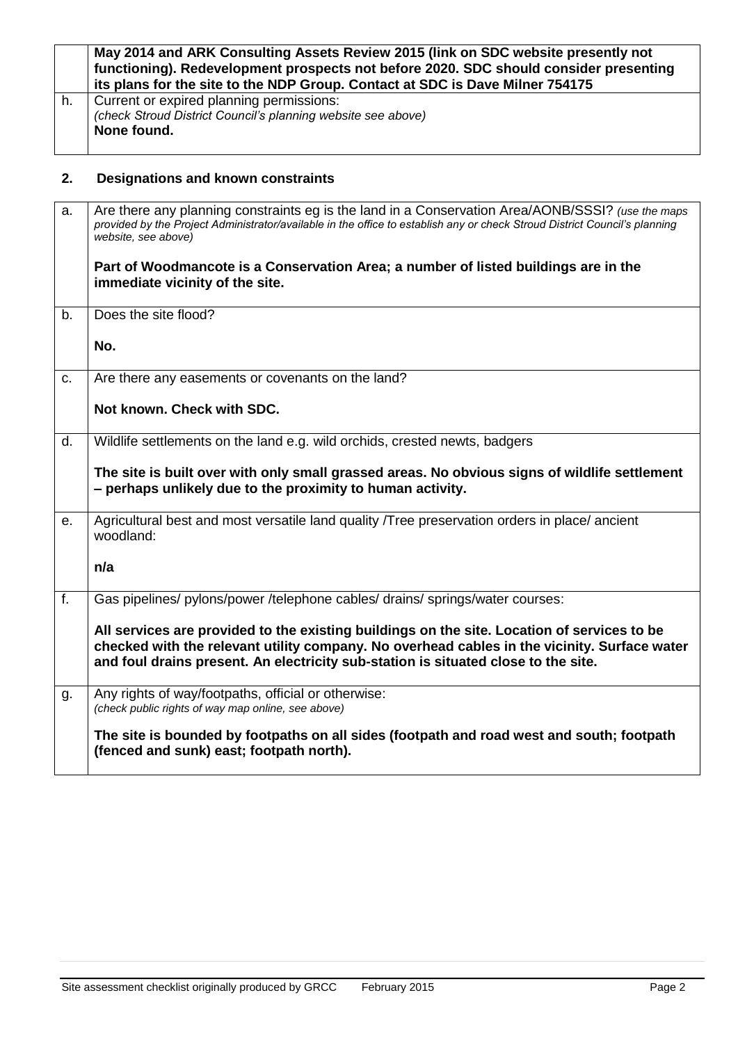|    | May 2014 and ARK Consulting Assets Review 2015 (link on SDC website presently not<br>functioning). Redevelopment prospects not before 2020. SDC should consider presenting<br>its plans for the site to the NDP Group. Contact at SDC is Dave Milner 754175 |
|----|-------------------------------------------------------------------------------------------------------------------------------------------------------------------------------------------------------------------------------------------------------------|
| h. | Current or expired planning permissions:<br>(check Stroud District Council's planning website see above)<br>None found.                                                                                                                                     |

# **2. Designations and known constraints**

| a.          | Are there any planning constraints eg is the land in a Conservation Area/AONB/SSSI? (use the maps<br>provided by the Project Administrator/available in the office to establish any or check Stroud District Council's planning<br>website, see above)                            |
|-------------|-----------------------------------------------------------------------------------------------------------------------------------------------------------------------------------------------------------------------------------------------------------------------------------|
|             | Part of Woodmancote is a Conservation Area; a number of listed buildings are in the<br>immediate vicinity of the site.                                                                                                                                                            |
| b.          | Does the site flood?                                                                                                                                                                                                                                                              |
|             | No.                                                                                                                                                                                                                                                                               |
| $C_{\cdot}$ | Are there any easements or covenants on the land?                                                                                                                                                                                                                                 |
|             | Not known. Check with SDC.                                                                                                                                                                                                                                                        |
| d.          | Wildlife settlements on the land e.g. wild orchids, crested newts, badgers                                                                                                                                                                                                        |
|             | The site is built over with only small grassed areas. No obvious signs of wildlife settlement<br>- perhaps unlikely due to the proximity to human activity.                                                                                                                       |
| е.          | Agricultural best and most versatile land quality /Tree preservation orders in place/ ancient<br>woodland:                                                                                                                                                                        |
|             | n/a                                                                                                                                                                                                                                                                               |
| f.          | Gas pipelines/ pylons/power /telephone cables/ drains/ springs/water courses:                                                                                                                                                                                                     |
|             | All services are provided to the existing buildings on the site. Location of services to be<br>checked with the relevant utility company. No overhead cables in the vicinity. Surface water<br>and foul drains present. An electricity sub-station is situated close to the site. |
| g.          | Any rights of way/footpaths, official or otherwise:<br>(check public rights of way map online, see above)                                                                                                                                                                         |
|             | The site is bounded by footpaths on all sides (footpath and road west and south; footpath<br>(fenced and sunk) east; footpath north).                                                                                                                                             |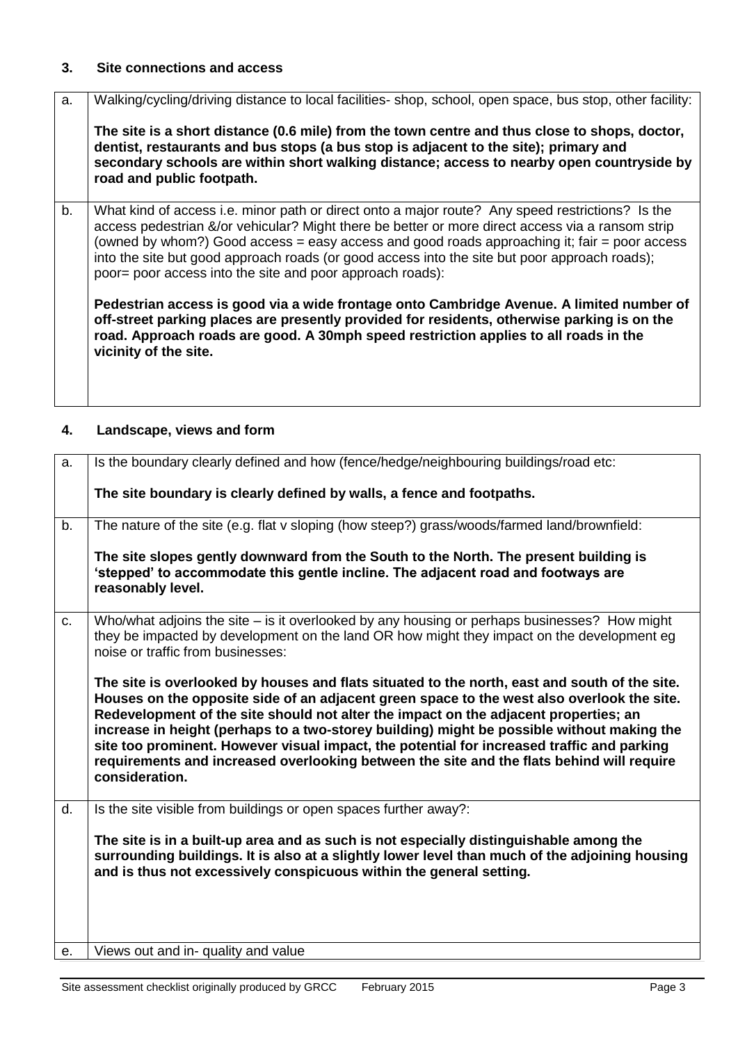#### **3. Site connections and access**

| Walking/cycling/driving distance to local facilities- shop, school, open space, bus stop, other facility:                                                                                                                                                                                                                                                                                                                                                          |
|--------------------------------------------------------------------------------------------------------------------------------------------------------------------------------------------------------------------------------------------------------------------------------------------------------------------------------------------------------------------------------------------------------------------------------------------------------------------|
| The site is a short distance (0.6 mile) from the town centre and thus close to shops, doctor,<br>dentist, restaurants and bus stops (a bus stop is adjacent to the site); primary and<br>secondary schools are within short walking distance; access to nearby open countryside by<br>road and public footpath.                                                                                                                                                    |
| What kind of access i.e. minor path or direct onto a major route? Any speed restrictions? Is the<br>access pedestrian &/or vehicular? Might there be better or more direct access via a ransom strip<br>(owned by whom?) Good access = easy access and good roads approaching it; fair = poor access<br>into the site but good approach roads (or good access into the site but poor approach roads);<br>poor= poor access into the site and poor approach roads): |
| Pedestrian access is good via a wide frontage onto Cambridge Avenue. A limited number of<br>off-street parking places are presently provided for residents, otherwise parking is on the<br>road. Approach roads are good. A 30mph speed restriction applies to all roads in the<br>vicinity of the site.                                                                                                                                                           |
|                                                                                                                                                                                                                                                                                                                                                                                                                                                                    |

### **4. Landscape, views and form**

| a.             | Is the boundary clearly defined and how (fence/hedge/neighbouring buildings/road etc:                                                                                                                                                                                                                                                                                                                                                                                                                                                                                                          |
|----------------|------------------------------------------------------------------------------------------------------------------------------------------------------------------------------------------------------------------------------------------------------------------------------------------------------------------------------------------------------------------------------------------------------------------------------------------------------------------------------------------------------------------------------------------------------------------------------------------------|
|                | The site boundary is clearly defined by walls, a fence and footpaths.                                                                                                                                                                                                                                                                                                                                                                                                                                                                                                                          |
| b.             | The nature of the site (e.g. flat v sloping (how steep?) grass/woods/farmed land/brownfield:                                                                                                                                                                                                                                                                                                                                                                                                                                                                                                   |
|                | The site slopes gently downward from the South to the North. The present building is<br>'stepped' to accommodate this gentle incline. The adjacent road and footways are<br>reasonably level.                                                                                                                                                                                                                                                                                                                                                                                                  |
| C <sub>1</sub> | Who/what adjoins the site – is it overlooked by any housing or perhaps businesses? How might<br>they be impacted by development on the land OR how might they impact on the development eq<br>noise or traffic from businesses:                                                                                                                                                                                                                                                                                                                                                                |
|                | The site is overlooked by houses and flats situated to the north, east and south of the site.<br>Houses on the opposite side of an adjacent green space to the west also overlook the site.<br>Redevelopment of the site should not alter the impact on the adjacent properties; an<br>increase in height (perhaps to a two-storey building) might be possible without making the<br>site too prominent. However visual impact, the potential for increased traffic and parking<br>requirements and increased overlooking between the site and the flats behind will require<br>consideration. |
| $d_{\cdot}$    | Is the site visible from buildings or open spaces further away?:                                                                                                                                                                                                                                                                                                                                                                                                                                                                                                                               |
|                | The site is in a built-up area and as such is not especially distinguishable among the<br>surrounding buildings. It is also at a slightly lower level than much of the adjoining housing<br>and is thus not excessively conspicuous within the general setting.                                                                                                                                                                                                                                                                                                                                |
| е.             | Views out and in- quality and value                                                                                                                                                                                                                                                                                                                                                                                                                                                                                                                                                            |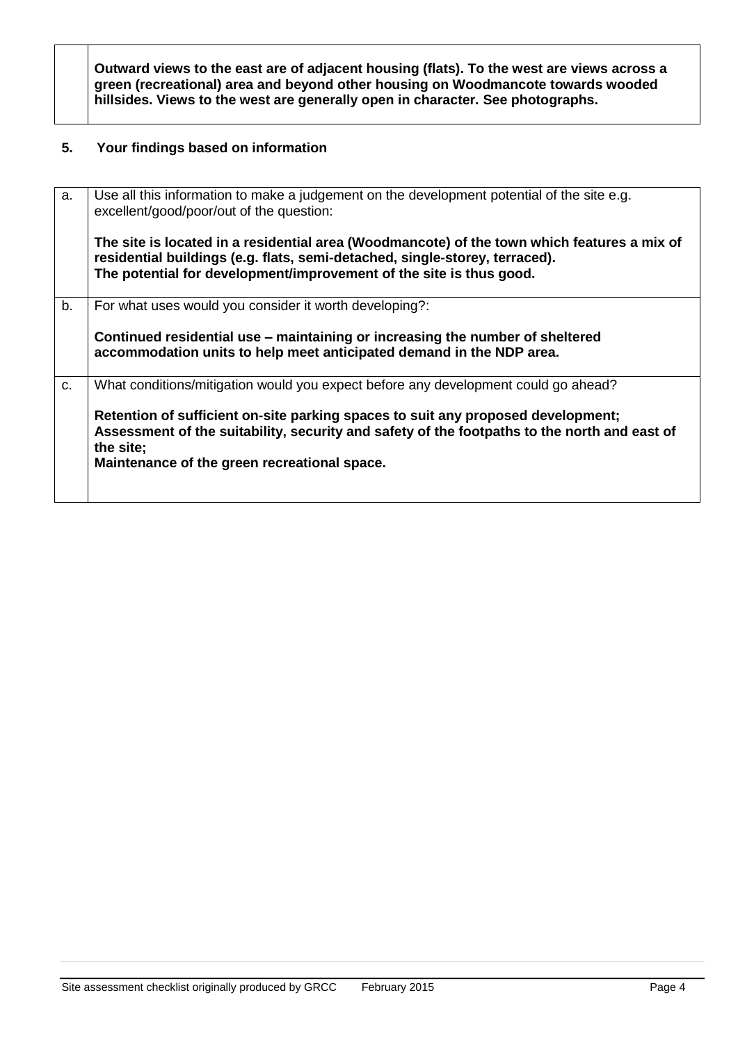**Outward views to the east are of adjacent housing (flats). To the west are views across a green (recreational) area and beyond other housing on Woodmancote towards wooded hillsides. Views to the west are generally open in character. See photographs.**

#### **5. Your findings based on information**

| a.          | Use all this information to make a judgement on the development potential of the site e.g.<br>excellent/good/poor/out of the question:                                                                                                            |
|-------------|---------------------------------------------------------------------------------------------------------------------------------------------------------------------------------------------------------------------------------------------------|
|             | The site is located in a residential area (Woodmancote) of the town which features a mix of<br>residential buildings (e.g. flats, semi-detached, single-storey, terraced).<br>The potential for development/improvement of the site is thus good. |
| b.          | For what uses would you consider it worth developing?:                                                                                                                                                                                            |
|             |                                                                                                                                                                                                                                                   |
|             | Continued residential use – maintaining or increasing the number of sheltered                                                                                                                                                                     |
|             | accommodation units to help meet anticipated demand in the NDP area.                                                                                                                                                                              |
|             |                                                                                                                                                                                                                                                   |
| $C_{\cdot}$ | What conditions/mitigation would you expect before any development could go ahead?                                                                                                                                                                |
|             | Retention of sufficient on-site parking spaces to suit any proposed development;                                                                                                                                                                  |
|             | Assessment of the suitability, security and safety of the footpaths to the north and east of                                                                                                                                                      |
|             | the site;                                                                                                                                                                                                                                         |
|             | Maintenance of the green recreational space.                                                                                                                                                                                                      |
|             |                                                                                                                                                                                                                                                   |
|             |                                                                                                                                                                                                                                                   |
|             |                                                                                                                                                                                                                                                   |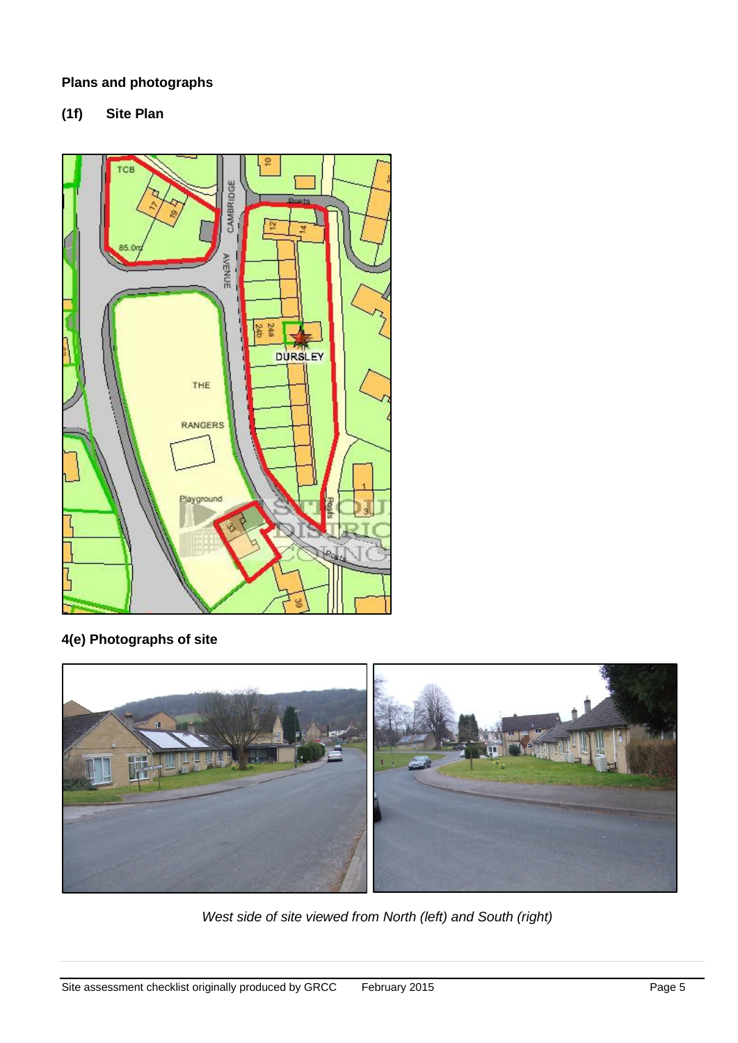### **Plans and photographs**

**(1f) Site Plan** 



# **4(e) Photographs of site**



*West side of site viewed from North (left) and South (right)*